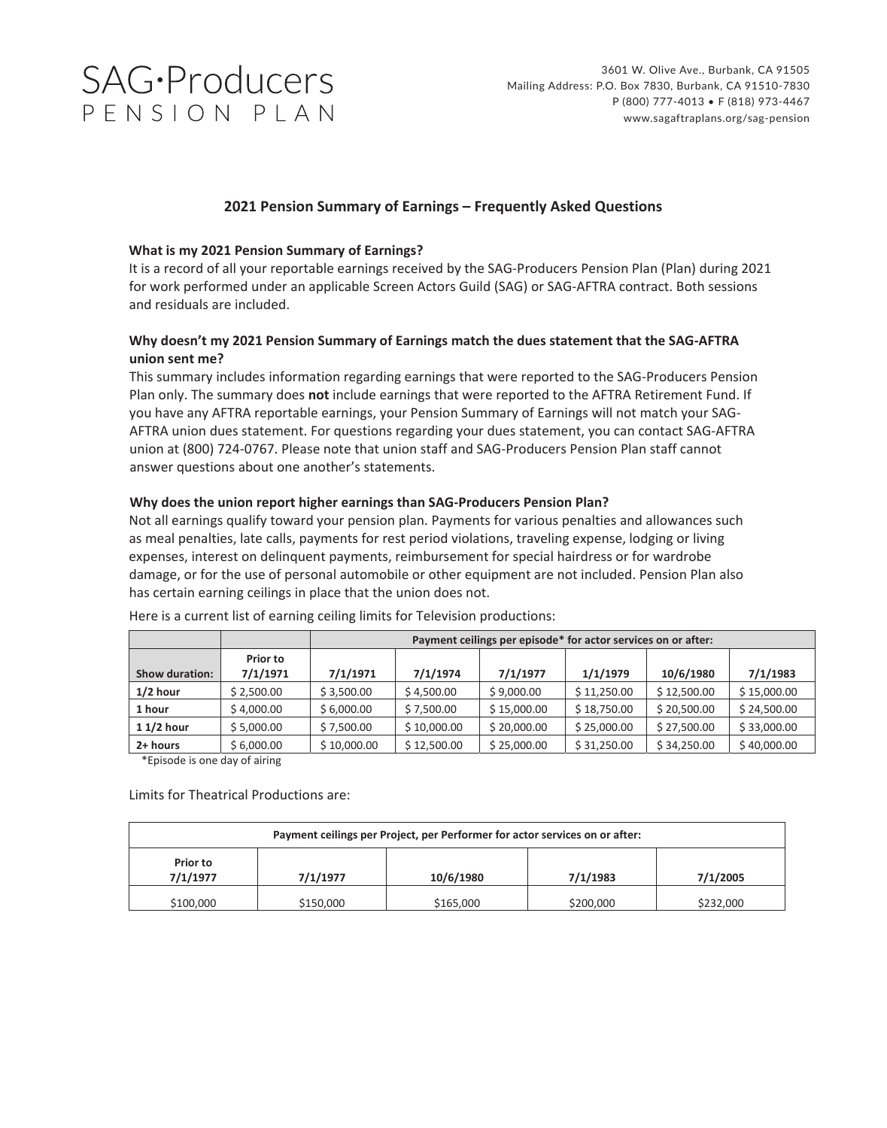# **SAG**·Producers PENSION PLAN

# **2021 Pension Summary of Earnings – Frequently Asked Questions**

## **What is my 2021 Pension Summary of Earnings?**

It is a record of all your reportable earnings received by the SAG‐Producers Pension Plan (Plan) during 2021 for work performed under an applicable Screen Actors Guild (SAG) or SAG‐AFTRA contract. Both sessions and residuals are included.

# **Why doesn't my 2021 Pension Summary of Earnings match the dues statement that the SAG‐AFTRA union sent me?**

This summary includes information regarding earnings that were reported to the SAG‐Producers Pension Plan only. The summary does **not** include earnings that were reported to the AFTRA Retirement Fund. If you have any AFTRA reportable earnings, your Pension Summary of Earnings will not match your SAG‐ AFTRA union dues statement. For questions regarding your dues statement, you can contact SAG‐AFTRA union at (800) 724‐0767. Please note that union staff and SAG‐Producers Pension Plan staff cannot answer questions about one another's statements.

## **Why does the union report higher earnings than SAG‐Producers Pension Plan?**

Not all earnings qualify toward your pension plan. Payments for various penalties and allowances such as meal penalties, late calls, payments for rest period violations, traveling expense, lodging or living expenses, interest on delinquent payments, reimbursement for special hairdress or for wardrobe damage, or for the use of personal automobile or other equipment are not included. Pension Plan also has certain earning ceilings in place that the union does not.

|                       |                      | Payment ceilings per episode* for actor services on or after: |             |             |             |             |             |
|-----------------------|----------------------|---------------------------------------------------------------|-------------|-------------|-------------|-------------|-------------|
| <b>Show duration:</b> | Prior to<br>7/1/1971 | 7/1/1971                                                      | 7/1/1974    | 7/1/1977    | 1/1/1979    | 10/6/1980   | 7/1/1983    |
| $1/2$ hour            | \$2,500.00           | \$3,500.00                                                    | \$4,500.00  | \$9,000.00  | \$11,250.00 | \$12,500.00 | \$15,000.00 |
| 1 hour                | \$4,000.00           | \$6,000.00                                                    | \$7,500.00  | \$15,000.00 | \$18,750.00 | \$20,500.00 | \$24,500.00 |
| $11/2$ hour           | \$5,000.00           | \$7,500.00                                                    | \$10,000.00 | \$20,000.00 | \$25,000.00 | \$27,500.00 | \$33,000.00 |
| 2+ hours              | \$6,000.00           | \$10,000.00                                                   | \$12,500.00 | \$25,000.00 | \$31,250.00 | \$34,250.00 | \$40,000.00 |

Here is a current list of earning ceiling limits for Television productions:

\*Episode is one day of airing

Limits for Theatrical Productions are:

| Payment ceilings per Project, per Performer for actor services on or after: |           |           |           |           |  |  |  |  |  |
|-----------------------------------------------------------------------------|-----------|-----------|-----------|-----------|--|--|--|--|--|
| Prior to<br>7/1/1977                                                        | 7/1/1977  | 10/6/1980 | 7/1/1983  | 7/1/2005  |  |  |  |  |  |
| \$100,000                                                                   | \$150,000 | \$165,000 | \$200,000 | \$232,000 |  |  |  |  |  |